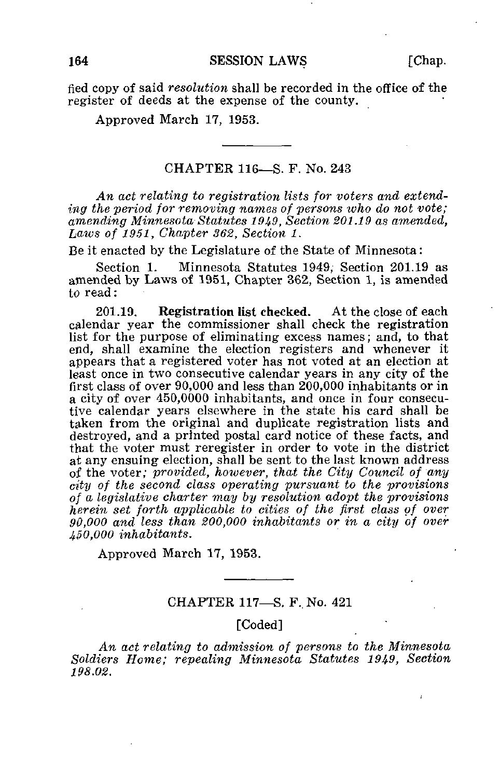fied copy of said resolution shall be recorded in the office of the register of deeds at the expense of the county.

Approved March 17, 1953.

#### CHAPTER 116—S. F. No. 243

An act relating to registration lists for voters and extending the period for removing names of persons who do not vote; amending Minnesota Statutes 1949, Section 201.19 as amended, Laws of 1951, Chapter 362, Section 1.

Be it enacted by the Legislature of the State of Minnesota:

Section 1. Minnesota Statutes 1949, Section 201.19 as amended by Laws of 1951, Chapter 362, Section 1, is amended to read:

201.19. Registration list checked. At the close of each calendar year the commissioner shall check the registration list for the purpose of eliminating excess names; and, to that end, shall examine the election registers and whenever it appears that a registered voter has not voted at an election at least once in two consecutive calendar years in any city of the first class of over 90,000 and less than 200,000 inhabitants or in a city of over 450,0000 inhabitants, and once in four consecutive calendar years elsewhere in the state his card shall be taken from the original and duplicate registration lists and destroyed, and a printed postal card notice of these facts, and that the voter must reregister in order to vote in the district at any ensuing election, shall be sent to the last known address of the voter; provided, however, that the City Council of any city of the second class operating pursuant to the provisions of a legislative charter may by resolution adopt the provisions herein set forth applicable to cities of the first class of over 90,000 and less than 200,000 inhabitants or in a city of over 450,000 inhabitants.

Approved March 17, 1953.

## CHAPTER 117-S. F. No. 421

## [Coded]

An act relating to admission of persons to the Minnesota Soldiers Home; repealing Minnesota Statutes 1949, Section 198.02.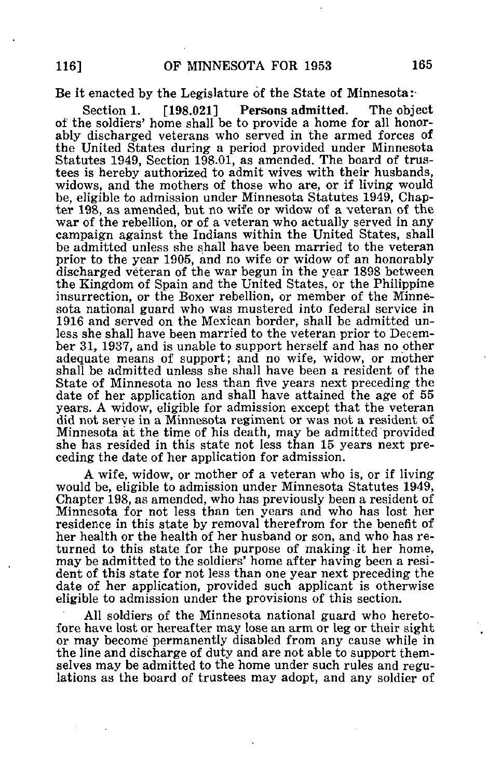#### Be it enacted by the Legislature of the State of Minnesota:

Section 1. [198.021] Persons admitted. The object of the soldiers' home shall be to provide a home for all honorably discharged veterans who served in the armed forces of the United States during a period provided under Minnesota Statutes 1949, Section 198.01, as amended. The board of trustees is hereby authorized to admit wives with their husbands, widows, and the mothers of those who are, or if living would be, eligible to admission under Minnesota Statutes 1949, Chapter 198, as amended, but no wife or widow of a veteran of the war of the rebellion, or of a veteran who actually served in any campaign against the Indians within the United States, shall be admitted unless she shall have been married to the veteran prior to the year 1905, and no wife or widow of an honorably discharged veteran of the war begun in the year 1898 between the Kingdom of Spain and the United States, or the Philippine insurrection, or the Boxer rebellion, or member of the Minnesota national guard who was mustered into federal service in 1916 and served on the Mexican border, shall be admitted unless she shall have been married to the veteran prior to December 31, 1937, and is unable to support herself and has no other adequate means of support; and no wife, widow, or mother shall be admitted unless she shall have been a resident of the State of Minnesota no less than five years next preceding the date of her application and shall have attained the age of 55 years. A widow, eligible for admission except that the veteran did not serve in a Minnesota regiment or was not a resident of Minnesota at the time of his death, may be admitted provided she has resided in this state not less than 15 years next preceding the date of her application for admission.

A wife, widow, or mother of a veteran who is, or if living would be, eligible to admission under Minnesota Statutes 1949, Chapter 198, as amended, who has previously been a resident of Minnesota for not less than ten years and who has lost her residence in this state by removal therefrom for the benefit of her health or the health of her husband or son, and who has returned to this state for the purpose of making it her home, may be admitted to the soldiers' home after having been a resident of this state for not less than one year next preceding the date of her application, provided such applicant is otherwise eligible to admission under the provisions of this section.

All soldiers of the Minnesota national guard who heretofore have lost or hereafter may lose an arm or leg or their sight or may become permanently disabled from any cause while in the line and discharge of duty and are not able to support themselves may be admitted to the home under such rules and regulations as the board of trustees may adopt, and any soldier of